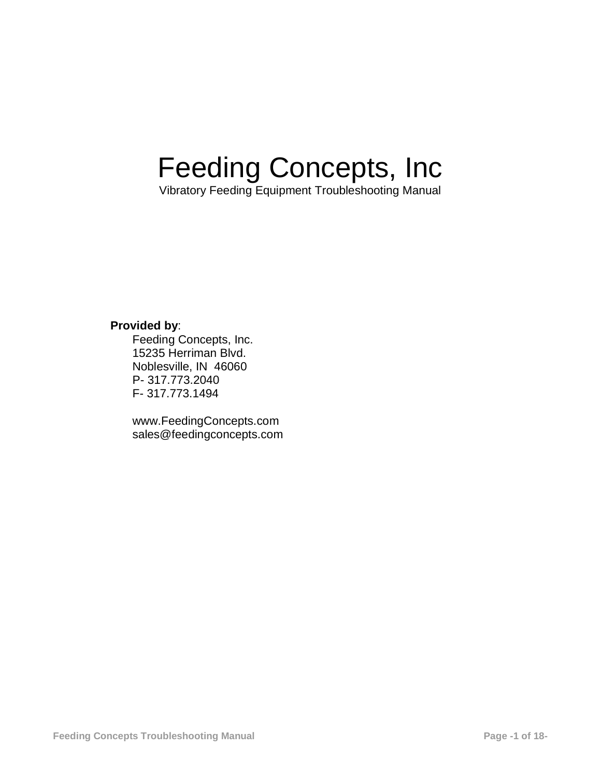# Feeding Concepts, Inc

Vibratory Feeding Equipment Troubleshooting Manual

# **Provided by**:

Feeding Concepts, Inc. 15235 Herriman Blvd. Noblesville, IN 46060 P- 317.773.2040 F- 317.773.1494

[www.FeedingConcepts.com](http://www.feedingconcepts.com/) [sales@feedingconcepts.com](mailto:sales@feedingconcepts.com)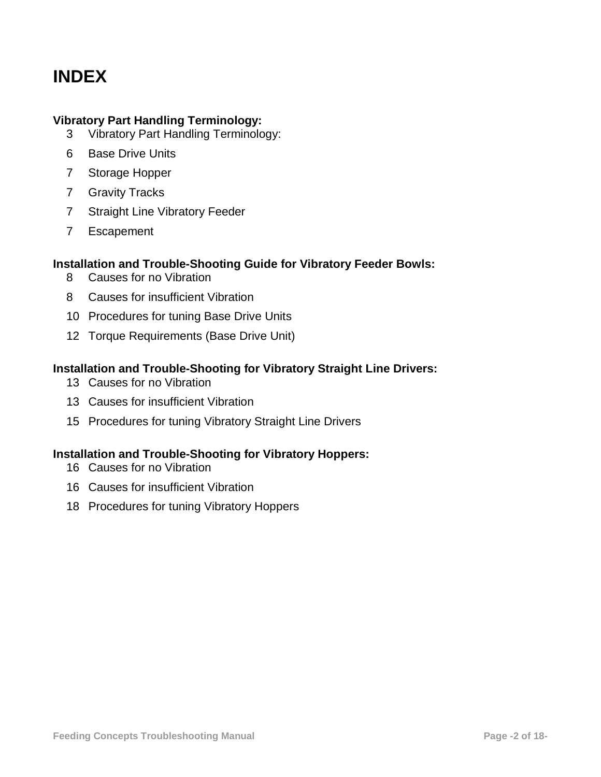# **INDEX**

#### **Vibratory Part Handling Terminology:**

- Vibratory Part Handling Terminology:
- Base Drive Units
- Storage Hopper
- Gravity Tracks
- Straight Line Vibratory Feeder
- Escapement

#### **Installation and Trouble-Shooting Guide for Vibratory Feeder Bowls:**

- Causes for no Vibration
- Causes for insufficient Vibration
- Procedures for tuning Base Drive Units
- Torque Requirements (Base Drive Unit)

#### **Installation and Trouble-Shooting for Vibratory Straight Line Drivers:**

- Causes for no Vibration
- Causes for insufficient Vibration
- Procedures for tuning Vibratory Straight Line Drivers

# **Installation and Trouble-Shooting for Vibratory Hoppers:**

- Causes for no Vibration
- Causes for insufficient Vibration
- Procedures for tuning Vibratory Hoppers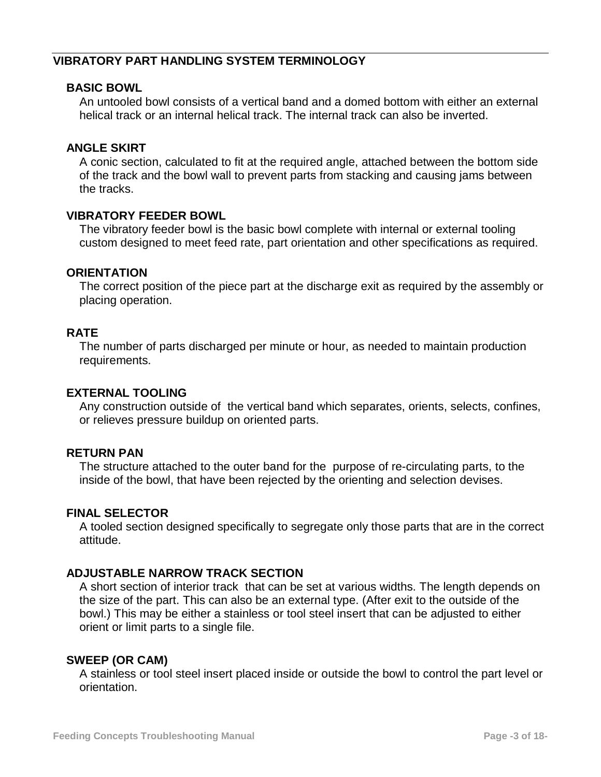## **VIBRATORY PART HANDLING SYSTEM TERMINOLOGY**

#### **BASIC BOWL**

An untooled bowl consists of a vertical band and a domed bottom with either an external helical track or an internal helical track. The internal track can also be inverted.

#### **ANGLE SKIRT**

A conic section, calculated to fit at the required angle, attached between the bottom side of the track and the bowl wall to prevent parts from stacking and causing jams between the tracks.

#### **VIBRATORY FEEDER BOWL**

The vibratory feeder bowl is the basic bowl complete with internal or external tooling custom designed to meet feed rate, part orientation and other specifications as required.

#### **ORIENTATION**

The correct position of the piece part at the discharge exit as required by the assembly or placing operation.

#### **RATE**

The number of parts discharged per minute or hour, as needed to maintain production requirements.

#### **EXTERNAL TOOLING**

Any construction outside of the vertical band which separates, orients, selects, confines, or relieves pressure buildup on oriented parts.

#### **RETURN PAN**

The structure attached to the outer band for the purpose of re-circulating parts, to the inside of the bowl, that have been rejected by the orienting and selection devises.

#### **FINAL SELECTOR**

A tooled section designed specifically to segregate only those parts that are in the correct attitude.

### **ADJUSTABLE NARROW TRACK SECTION**

A short section of interior track that can be set at various widths. The length depends on the size of the part. This can also be an external type. (After exit to the outside of the bowl.) This may be either a stainless or tool steel insert that can be adjusted to either orient or limit parts to a single file.

#### **SWEEP (OR CAM)**

A stainless or tool steel insert placed inside or outside the bowl to control the part level or orientation.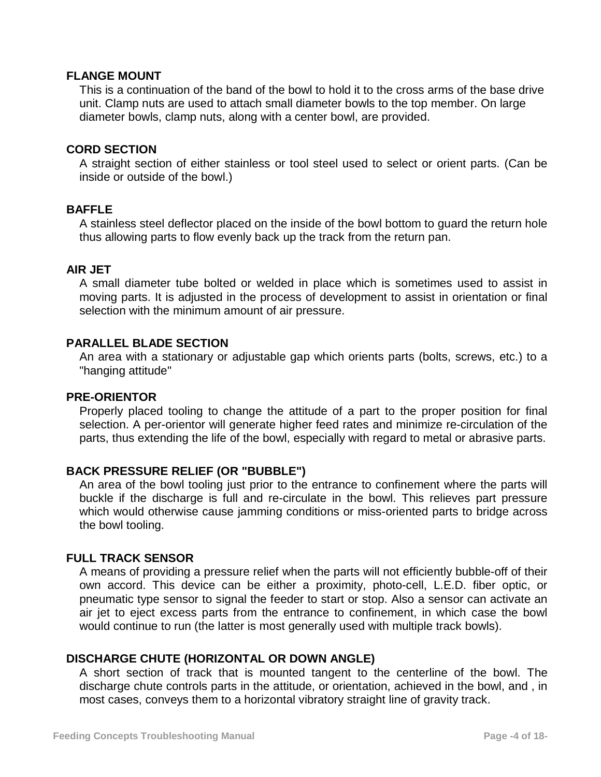#### **FLANGE MOUNT**

This is a continuation of the band of the bowl to hold it to the cross arms of the base drive unit. Clamp nuts are used to attach small diameter bowls to the top member. On large diameter bowls, clamp nuts, along with a center bowl, are provided.

#### **CORD SECTION**

A straight section of either stainless or tool steel used to select or orient parts. (Can be inside or outside of the bowl.)

#### **BAFFLE**

A stainless steel deflector placed on the inside of the bowl bottom to guard the return hole thus allowing parts to flow evenly back up the track from the return pan.

#### **AIR JET**

A small diameter tube bolted or welded in place which is sometimes used to assist in moving parts. It is adjusted in the process of development to assist in orientation or final selection with the minimum amount of air pressure.

#### **PARALLEL BLADE SECTION**

An area with a stationary or adjustable gap which orients parts (bolts, screws, etc.) to a "hanging attitude"

#### **PRE-ORIENTOR**

Properly placed tooling to change the attitude of a part to the proper position for final selection. A per-orientor will generate higher feed rates and minimize re-circulation of the parts, thus extending the life of the bowl, especially with regard to metal or abrasive parts.

### **BACK PRESSURE RELIEF (OR "BUBBLE")**

An area of the bowl tooling just prior to the entrance to confinement where the parts will buckle if the discharge is full and re-circulate in the bowl. This relieves part pressure which would otherwise cause jamming conditions or miss-oriented parts to bridge across the bowl tooling.

### **FULL TRACK SENSOR**

A means of providing a pressure relief when the parts will not efficiently bubble-off of their own accord. This device can be either a proximity, photo-cell, L.E.D. fiber optic, or pneumatic type sensor to signal the feeder to start or stop. Also a sensor can activate an air jet to eject excess parts from the entrance to confinement, in which case the bowl would continue to run (the latter is most generally used with multiple track bowls).

### **DISCHARGE CHUTE (HORIZONTAL OR DOWN ANGLE)**

A short section of track that is mounted tangent to the centerline of the bowl. The discharge chute controls parts in the attitude, or orientation, achieved in the bowl, and , in most cases, conveys them to a horizontal vibratory straight line of gravity track.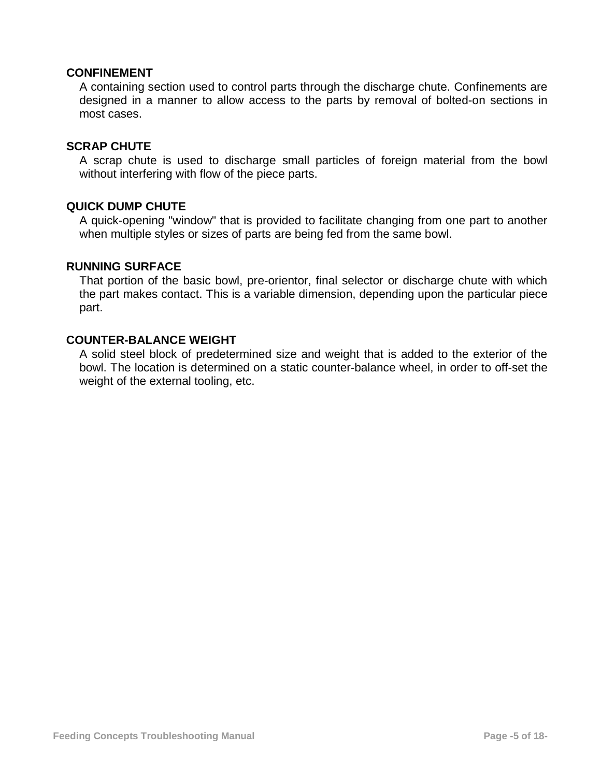#### **CONFINEMENT**

A containing section used to control parts through the discharge chute. Confinements are designed in a manner to allow access to the parts by removal of bolted-on sections in most cases.

#### **SCRAP CHUTE**

A scrap chute is used to discharge small particles of foreign material from the bowl without interfering with flow of the piece parts.

#### **QUICK DUMP CHUTE**

A quick-opening "window" that is provided to facilitate changing from one part to another when multiple styles or sizes of parts are being fed from the same bowl.

#### **RUNNING SURFACE**

That portion of the basic bowl, pre-orientor, final selector or discharge chute with which the part makes contact. This is a variable dimension, depending upon the particular piece part.

#### **COUNTER-BALANCE WEIGHT**

A solid steel block of predetermined size and weight that is added to the exterior of the bowl. The location is determined on a static counter-balance wheel, in order to off-set the weight of the external tooling, etc.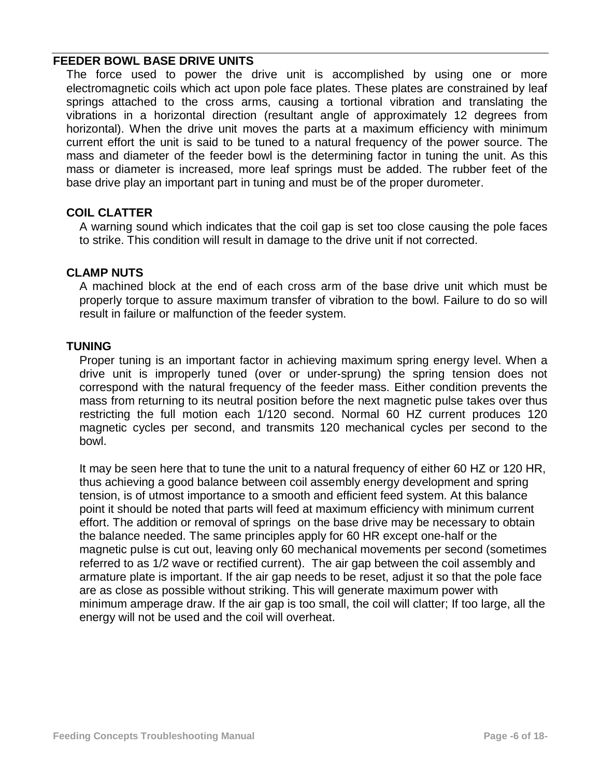#### **FEEDER BOWL BASE DRIVE UNITS**

The force used to power the drive unit is accomplished by using one or more electromagnetic coils which act upon pole face plates. These plates are constrained by leaf springs attached to the cross arms, causing a tortional vibration and translating the vibrations in a horizontal direction (resultant angle of approximately 12 degrees from horizontal). When the drive unit moves the parts at a maximum efficiency with minimum current effort the unit is said to be tuned to a natural frequency of the power source. The mass and diameter of the feeder bowl is the determining factor in tuning the unit. As this mass or diameter is increased, more leaf springs must be added. The rubber feet of the base drive play an important part in tuning and must be of the proper durometer.

#### **COIL CLATTER**

A warning sound which indicates that the coil gap is set too close causing the pole faces to strike. This condition will result in damage to the drive unit if not corrected.

#### **CLAMP NUTS**

A machined block at the end of each cross arm of the base drive unit which must be properly torque to assure maximum transfer of vibration to the bowl. Failure to do so will result in failure or malfunction of the feeder system.

#### **TUNING**

Proper tuning is an important factor in achieving maximum spring energy level. When a drive unit is improperly tuned (over or under-sprung) the spring tension does not correspond with the natural frequency of the feeder mass. Either condition prevents the mass from returning to its neutral position before the next magnetic pulse takes over thus restricting the full motion each 1/120 second. Normal 60 HZ current produces 120 magnetic cycles per second, and transmits 120 mechanical cycles per second to the bowl.

It may be seen here that to tune the unit to a natural frequency of either 60 HZ or 120 HR, thus achieving a good balance between coil assembly energy development and spring tension, is of utmost importance to a smooth and efficient feed system. At this balance point it should be noted that parts will feed at maximum efficiency with minimum current effort. The addition or removal of springs on the base drive may be necessary to obtain the balance needed. The same principles apply for 60 HR except one-half or the magnetic pulse is cut out, leaving only 60 mechanical movements per second (sometimes referred to as 1/2 wave or rectified current). The air gap between the coil assembly and armature plate is important. If the air gap needs to be reset, adjust it so that the pole face are as close as possible without striking. This will generate maximum power with minimum amperage draw. If the air gap is too small, the coil will clatter; If too large, all the energy will not be used and the coil will overheat.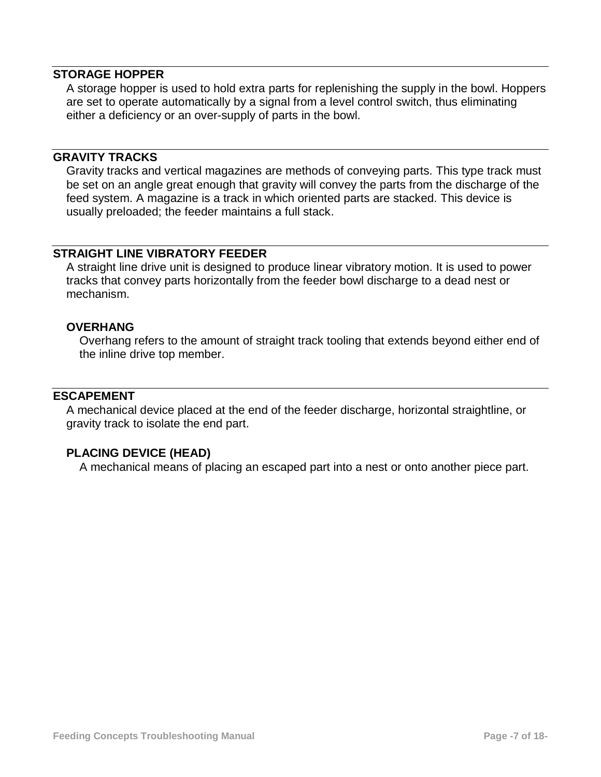#### **STORAGE HOPPER**

A storage hopper is used to hold extra parts for replenishing the supply in the bowl. Hoppers are set to operate automatically by a signal from a level control switch, thus eliminating either a deficiency or an over-supply of parts in the bowl.

#### **GRAVITY TRACKS**

Gravity tracks and vertical magazines are methods of conveying parts. This type track must be set on an angle great enough that gravity will convey the parts from the discharge of the feed system. A magazine is a track in which oriented parts are stacked. This device is usually preloaded; the feeder maintains a full stack.

#### **STRAIGHT LINE VIBRATORY FEEDER**

A straight line drive unit is designed to produce linear vibratory motion. It is used to power tracks that convey parts horizontally from the feeder bowl discharge to a dead nest or mechanism.

#### **OVERHANG**

Overhang refers to the amount of straight track tooling that extends beyond either end of the inline drive top member.

### **ESCAPEMENT**

A mechanical device placed at the end of the feeder discharge, horizontal straightline, or gravity track to isolate the end part.

#### **PLACING DEVICE (HEAD)**

A mechanical means of placing an escaped part into a nest or onto another piece part.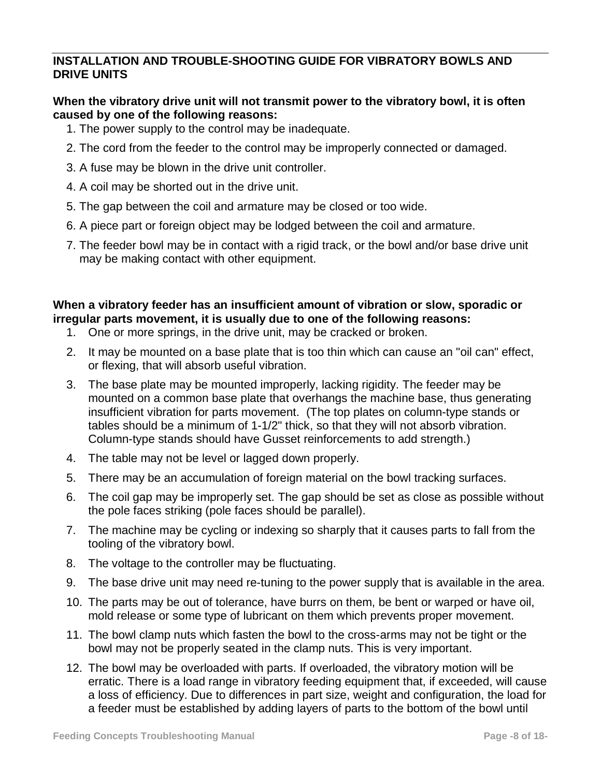# **INSTALLATION AND TROUBLE-SHOOTING GUIDE FOR VIBRATORY BOWLS AND DRIVE UNITS**

# **When the vibratory drive unit will not transmit power to the vibratory bowl, it is often caused by one of the following reasons:**

- 1. The power supply to the control may be inadequate.
- 2. The cord from the feeder to the control may be improperly connected or damaged.
- 3. A fuse may be blown in the drive unit controller.
- 4. A coil may be shorted out in the drive unit.
- 5. The gap between the coil and armature may be closed or too wide.
- 6. A piece part or foreign object may be lodged between the coil and armature.
- 7. The feeder bowl may be in contact with a rigid track, or the bowl and/or base drive unit may be making contact with other equipment.

# **When a vibratory feeder has an insufficient amount of vibration or slow, sporadic or irregular parts movement, it is usually due to one of the following reasons:**

- 1. One or more springs, in the drive unit, may be cracked or broken.
- 2. It may be mounted on a base plate that is too thin which can cause an "oil can" effect, or flexing, that will absorb useful vibration.
- 3. The base plate may be mounted improperly, lacking rigidity. The feeder may be mounted on a common base plate that overhangs the machine base, thus generating insufficient vibration for parts movement. (The top plates on column-type stands or tables should be a minimum of 1-1/2" thick, so that they will not absorb vibration. Column-type stands should have Gusset reinforcements to add strength.)
- 4. The table may not be level or lagged down properly.
- 5. There may be an accumulation of foreign material on the bowl tracking surfaces.
- 6. The coil gap may be improperly set. The gap should be set as close as possible without the pole faces striking (pole faces should be parallel).
- 7. The machine may be cycling or indexing so sharply that it causes parts to fall from the tooling of the vibratory bowl.
- 8. The voltage to the controller may be fluctuating.
- 9. The base drive unit may need re-tuning to the power supply that is available in the area.
- 10. The parts may be out of tolerance, have burrs on them, be bent or warped or have oil, mold release or some type of lubricant on them which prevents proper movement.
- 11. The bowl clamp nuts which fasten the bowl to the cross-arms may not be tight or the bowl may not be properly seated in the clamp nuts. This is very important.
- 12. The bowl may be overloaded with parts. If overloaded, the vibratory motion will be erratic. There is a load range in vibratory feeding equipment that, if exceeded, will cause a loss of efficiency. Due to differences in part size, weight and configuration, the load for a feeder must be established by adding layers of parts to the bottom of the bowl until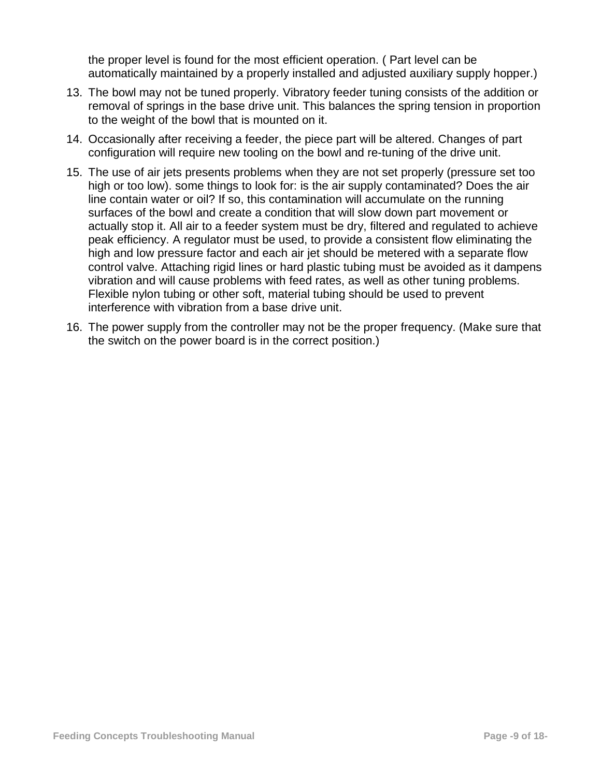the proper level is found for the most efficient operation. ( Part level can be automatically maintained by a properly installed and adjusted auxiliary supply hopper.)

- 13. The bowl may not be tuned properly. Vibratory feeder tuning consists of the addition or removal of springs in the base drive unit. This balances the spring tension in proportion to the weight of the bowl that is mounted on it.
- 14. Occasionally after receiving a feeder, the piece part will be altered. Changes of part configuration will require new tooling on the bowl and re-tuning of the drive unit.
- 15. The use of air jets presents problems when they are not set properly (pressure set too high or too low). some things to look for: is the air supply contaminated? Does the air line contain water or oil? If so, this contamination will accumulate on the running surfaces of the bowl and create a condition that will slow down part movement or actually stop it. All air to a feeder system must be dry, filtered and regulated to achieve peak efficiency. A regulator must be used, to provide a consistent flow eliminating the high and low pressure factor and each air jet should be metered with a separate flow control valve. Attaching rigid lines or hard plastic tubing must be avoided as it dampens vibration and will cause problems with feed rates, as well as other tuning problems. Flexible nylon tubing or other soft, material tubing should be used to prevent interference with vibration from a base drive unit.
- 16. The power supply from the controller may not be the proper frequency. (Make sure that the switch on the power board is in the correct position.)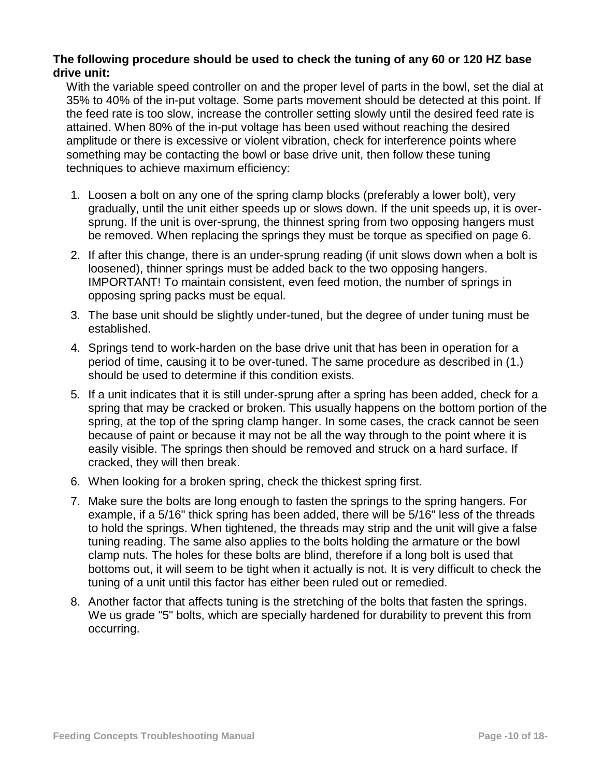#### **The following procedure should be used to check the tuning of any 60 or 120 HZ base drive unit:**

With the variable speed controller on and the proper level of parts in the bowl, set the dial at 35% to 40% of the in-put voltage. Some parts movement should be detected at this point. If the feed rate is too slow, increase the controller setting slowly until the desired feed rate is attained. When 80% of the in-put voltage has been used without reaching the desired amplitude or there is excessive or violent vibration, check for interference points where something may be contacting the bowl or base drive unit, then follow these tuning techniques to achieve maximum efficiency:

- 1. Loosen a bolt on any one of the spring clamp blocks (preferably a lower bolt), very gradually, until the unit either speeds up or slows down. If the unit speeds up, it is oversprung. If the unit is over-sprung, the thinnest spring from two opposing hangers must be removed. When replacing the springs they must be torque as specified on page 6.
- 2. If after this change, there is an under-sprung reading (if unit slows down when a bolt is loosened), thinner springs must be added back to the two opposing hangers. IMPORTANT! To maintain consistent, even feed motion, the number of springs in opposing spring packs must be equal.
- 3. The base unit should be slightly under-tuned, but the degree of under tuning must be established.
- 4. Springs tend to work-harden on the base drive unit that has been in operation for a period of time, causing it to be over-tuned. The same procedure as described in (1.) should be used to determine if this condition exists.
- 5. If a unit indicates that it is still under-sprung after a spring has been added, check for a spring that may be cracked or broken. This usually happens on the bottom portion of the spring, at the top of the spring clamp hanger. In some cases, the crack cannot be seen because of paint or because it may not be all the way through to the point where it is easily visible. The springs then should be removed and struck on a hard surface. If cracked, they will then break.
- 6. When looking for a broken spring, check the thickest spring first.
- 7. Make sure the bolts are long enough to fasten the springs to the spring hangers. For example, if a 5/16" thick spring has been added, there will be 5/16" less of the threads to hold the springs. When tightened, the threads may strip and the unit will give a false tuning reading. The same also applies to the bolts holding the armature or the bowl clamp nuts. The holes for these bolts are blind, therefore if a long bolt is used that bottoms out, it will seem to be tight when it actually is not. It is very difficult to check the tuning of a unit until this factor has either been ruled out or remedied.
- 8. Another factor that affects tuning is the stretching of the bolts that fasten the springs. We us grade "5" bolts, which are specially hardened for durability to prevent this from occurring.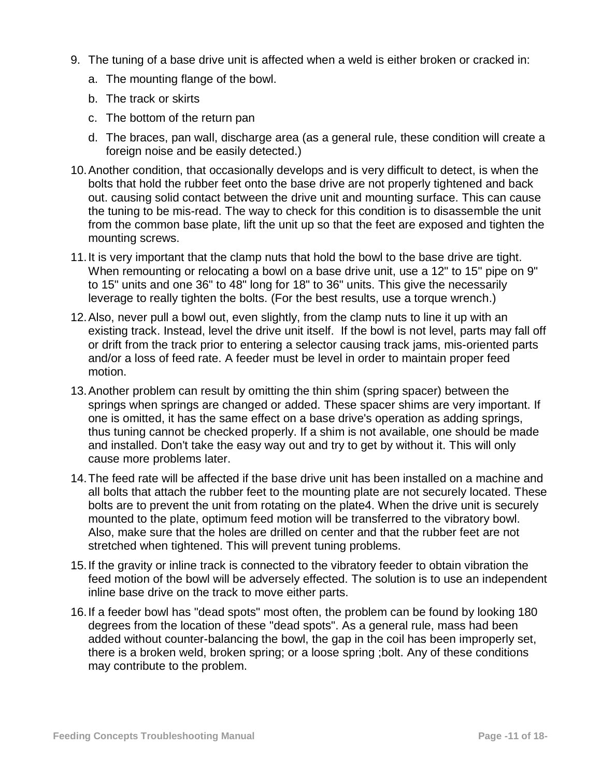- 9. The tuning of a base drive unit is affected when a weld is either broken or cracked in:
	- a. The mounting flange of the bowl.
	- b. The track or skirts
	- c. The bottom of the return pan
	- d. The braces, pan wall, discharge area (as a general rule, these condition will create a foreign noise and be easily detected.)
- 10.Another condition, that occasionally develops and is very difficult to detect, is when the bolts that hold the rubber feet onto the base drive are not properly tightened and back out. causing solid contact between the drive unit and mounting surface. This can cause the tuning to be mis-read. The way to check for this condition is to disassemble the unit from the common base plate, lift the unit up so that the feet are exposed and tighten the mounting screws.
- 11.It is very important that the clamp nuts that hold the bowl to the base drive are tight. When remounting or relocating a bowl on a base drive unit, use a 12" to 15" pipe on 9" to 15" units and one 36" to 48" long for 18" to 36" units. This give the necessarily leverage to really tighten the bolts. (For the best results, use a torque wrench.)
- 12.Also, never pull a bowl out, even slightly, from the clamp nuts to line it up with an existing track. Instead, level the drive unit itself. If the bowl is not level, parts may fall off or drift from the track prior to entering a selector causing track jams, mis-oriented parts and/or a loss of feed rate. A feeder must be level in order to maintain proper feed motion.
- 13.Another problem can result by omitting the thin shim (spring spacer) between the springs when springs are changed or added. These spacer shims are very important. If one is omitted, it has the same effect on a base drive's operation as adding springs, thus tuning cannot be checked properly. If a shim is not available, one should be made and installed. Don't take the easy way out and try to get by without it. This will only cause more problems later.
- 14.The feed rate will be affected if the base drive unit has been installed on a machine and all bolts that attach the rubber feet to the mounting plate are not securely located. These bolts are to prevent the unit from rotating on the plate4. When the drive unit is securely mounted to the plate, optimum feed motion will be transferred to the vibratory bowl. Also, make sure that the holes are drilled on center and that the rubber feet are not stretched when tightened. This will prevent tuning problems.
- 15.If the gravity or inline track is connected to the vibratory feeder to obtain vibration the feed motion of the bowl will be adversely effected. The solution is to use an independent inline base drive on the track to move either parts.
- 16.If a feeder bowl has "dead spots" most often, the problem can be found by looking 180 degrees from the location of these "dead spots". As a general rule, mass had been added without counter-balancing the bowl, the gap in the coil has been improperly set, there is a broken weld, broken spring; or a loose spring ;bolt. Any of these conditions may contribute to the problem.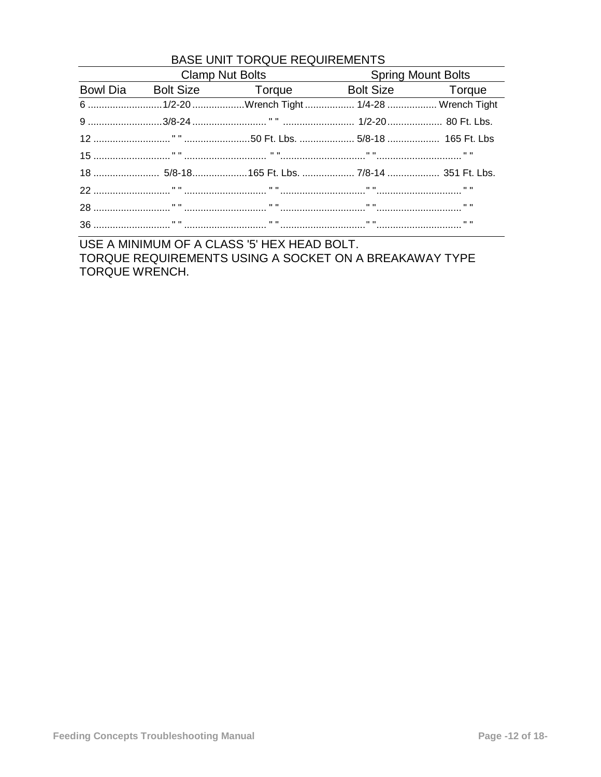| <b>BASE UNIT TORQUE REQUIREMENTS</b> |                                        |                                             |                           |  |
|--------------------------------------|----------------------------------------|---------------------------------------------|---------------------------|--|
|                                      | Clamp Nut Bolts <b>Clamp</b> Nut Bolts |                                             | <b>Spring Mount Bolts</b> |  |
|                                      |                                        | Bowl Dia Bolt Size Torque Bolt Size Torque  |                           |  |
|                                      |                                        | 6 1/2-20 Wrench Tight  1/4-28  Wrench Tight |                           |  |
|                                      |                                        |                                             |                           |  |
|                                      |                                        |                                             |                           |  |
|                                      |                                        |                                             |                           |  |
|                                      |                                        |                                             |                           |  |
|                                      |                                        |                                             |                           |  |
|                                      |                                        |                                             |                           |  |
|                                      |                                        |                                             |                           |  |

USE A MINIMUM OF A CLASS '5' HEX HEAD BOLT. TORQUE REQUIREMENTS USING A SOCKET ON A BREAKAWAY TYPE TORQUE WRENCH.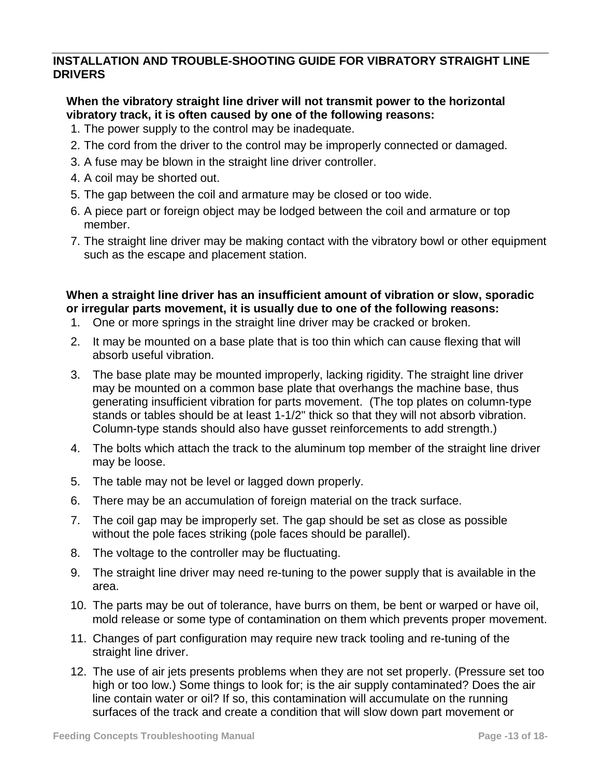# **INSTALLATION AND TROUBLE-SHOOTING GUIDE FOR VIBRATORY STRAIGHT LINE DRIVERS**

# **When the vibratory straight line driver will not transmit power to the horizontal vibratory track, it is often caused by one of the following reasons:**

- 1. The power supply to the control may be inadequate.
- 2. The cord from the driver to the control may be improperly connected or damaged.
- 3. A fuse may be blown in the straight line driver controller.
- 4. A coil may be shorted out.
- 5. The gap between the coil and armature may be closed or too wide.
- 6. A piece part or foreign object may be lodged between the coil and armature or top member.
- 7. The straight line driver may be making contact with the vibratory bowl or other equipment such as the escape and placement station.

# **When a straight line driver has an insufficient amount of vibration or slow, sporadic or irregular parts movement, it is usually due to one of the following reasons:**

- 1. One or more springs in the straight line driver may be cracked or broken.
- 2. It may be mounted on a base plate that is too thin which can cause flexing that will absorb useful vibration.
- 3. The base plate may be mounted improperly, lacking rigidity. The straight line driver may be mounted on a common base plate that overhangs the machine base, thus generating insufficient vibration for parts movement. (The top plates on column-type stands or tables should be at least 1-1/2" thick so that they will not absorb vibration. Column-type stands should also have gusset reinforcements to add strength.)
- 4. The bolts which attach the track to the aluminum top member of the straight line driver may be loose.
- 5. The table may not be level or lagged down properly.
- 6. There may be an accumulation of foreign material on the track surface.
- 7. The coil gap may be improperly set. The gap should be set as close as possible without the pole faces striking (pole faces should be parallel).
- 8. The voltage to the controller may be fluctuating.
- 9. The straight line driver may need re-tuning to the power supply that is available in the area.
- 10. The parts may be out of tolerance, have burrs on them, be bent or warped or have oil, mold release or some type of contamination on them which prevents proper movement.
- 11. Changes of part configuration may require new track tooling and re-tuning of the straight line driver.
- 12. The use of air jets presents problems when they are not set properly. (Pressure set too high or too low.) Some things to look for; is the air supply contaminated? Does the air line contain water or oil? If so, this contamination will accumulate on the running surfaces of the track and create a condition that will slow down part movement or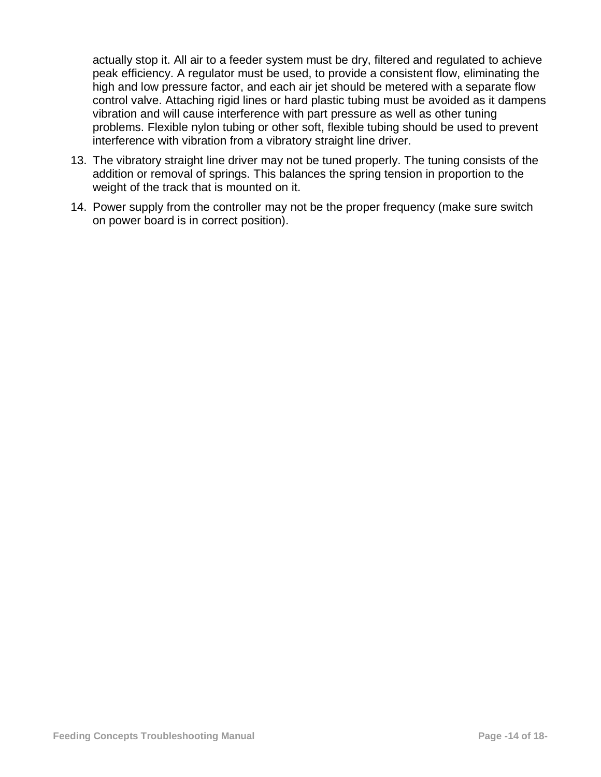actually stop it. All air to a feeder system must be dry, filtered and regulated to achieve peak efficiency. A regulator must be used, to provide a consistent flow, eliminating the high and low pressure factor, and each air jet should be metered with a separate flow control valve. Attaching rigid lines or hard plastic tubing must be avoided as it dampens vibration and will cause interference with part pressure as well as other tuning problems. Flexible nylon tubing or other soft, flexible tubing should be used to prevent interference with vibration from a vibratory straight line driver.

- 13. The vibratory straight line driver may not be tuned properly. The tuning consists of the addition or removal of springs. This balances the spring tension in proportion to the weight of the track that is mounted on it.
- 14. Power supply from the controller may not be the proper frequency (make sure switch on power board is in correct position).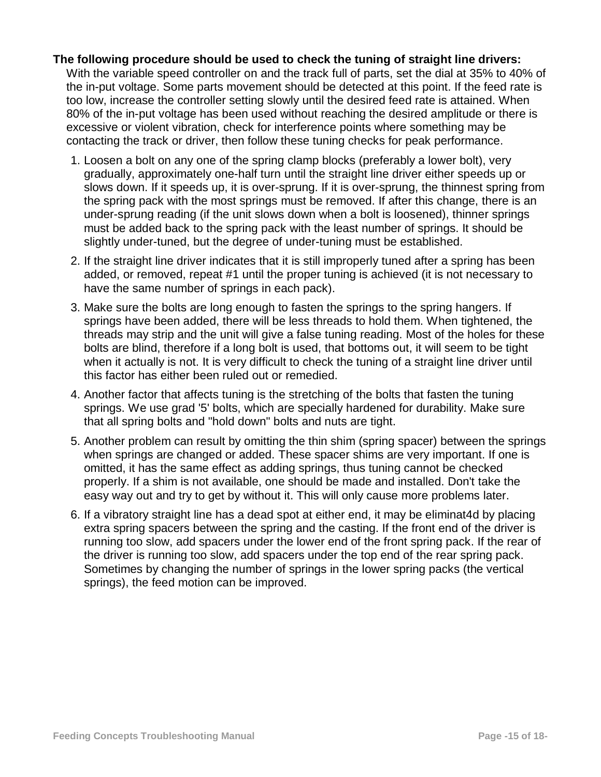# **The following procedure should be used to check the tuning of straight line drivers:** With the variable speed controller on and the track full of parts, set the dial at 35% to 40% of

the in-put voltage. Some parts movement should be detected at this point. If the feed rate is too low, increase the controller setting slowly until the desired feed rate is attained. When 80% of the in-put voltage has been used without reaching the desired amplitude or there is excessive or violent vibration, check for interference points where something may be contacting the track or driver, then follow these tuning checks for peak performance.

- 1. Loosen a bolt on any one of the spring clamp blocks (preferably a lower bolt), very gradually, approximately one-half turn until the straight line driver either speeds up or slows down. If it speeds up, it is over-sprung. If it is over-sprung, the thinnest spring from the spring pack with the most springs must be removed. If after this change, there is an under-sprung reading (if the unit slows down when a bolt is loosened), thinner springs must be added back to the spring pack with the least number of springs. It should be slightly under-tuned, but the degree of under-tuning must be established.
- 2. If the straight line driver indicates that it is still improperly tuned after a spring has been added, or removed, repeat #1 until the proper tuning is achieved (it is not necessary to have the same number of springs in each pack).
- 3. Make sure the bolts are long enough to fasten the springs to the spring hangers. If springs have been added, there will be less threads to hold them. When tightened, the threads may strip and the unit will give a false tuning reading. Most of the holes for these bolts are blind, therefore if a long bolt is used, that bottoms out, it will seem to be tight when it actually is not. It is very difficult to check the tuning of a straight line driver until this factor has either been ruled out or remedied.
- 4. Another factor that affects tuning is the stretching of the bolts that fasten the tuning springs. We use grad '5' bolts, which are specially hardened for durability. Make sure that all spring bolts and "hold down" bolts and nuts are tight.
- 5. Another problem can result by omitting the thin shim (spring spacer) between the springs when springs are changed or added. These spacer shims are very important. If one is omitted, it has the same effect as adding springs, thus tuning cannot be checked properly. If a shim is not available, one should be made and installed. Don't take the easy way out and try to get by without it. This will only cause more problems later.
- 6. If a vibratory straight line has a dead spot at either end, it may be eliminat4d by placing extra spring spacers between the spring and the casting. If the front end of the driver is running too slow, add spacers under the lower end of the front spring pack. If the rear of the driver is running too slow, add spacers under the top end of the rear spring pack. Sometimes by changing the number of springs in the lower spring packs (the vertical springs), the feed motion can be improved.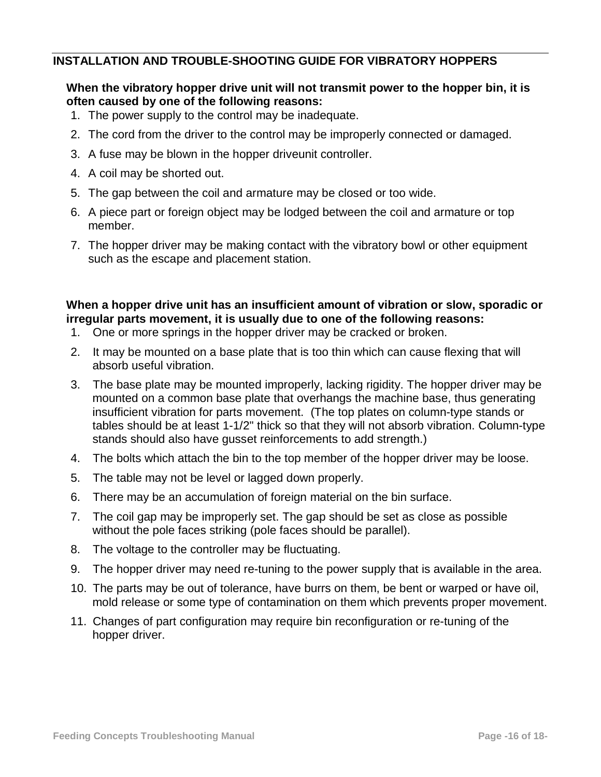# **INSTALLATION AND TROUBLE-SHOOTING GUIDE FOR VIBRATORY HOPPERS**

### **When the vibratory hopper drive unit will not transmit power to the hopper bin, it is often caused by one of the following reasons:**

- 1. The power supply to the control may be inadequate.
- 2. The cord from the driver to the control may be improperly connected or damaged.
- 3. A fuse may be blown in the hopper driveunit controller.
- 4. A coil may be shorted out.
- 5. The gap between the coil and armature may be closed or too wide.
- 6. A piece part or foreign object may be lodged between the coil and armature or top member.
- 7. The hopper driver may be making contact with the vibratory bowl or other equipment such as the escape and placement station.

# **When a hopper drive unit has an insufficient amount of vibration or slow, sporadic or irregular parts movement, it is usually due to one of the following reasons:**

- 1. One or more springs in the hopper driver may be cracked or broken.
- 2. It may be mounted on a base plate that is too thin which can cause flexing that will absorb useful vibration.
- 3. The base plate may be mounted improperly, lacking rigidity. The hopper driver may be mounted on a common base plate that overhangs the machine base, thus generating insufficient vibration for parts movement. (The top plates on column-type stands or tables should be at least 1-1/2" thick so that they will not absorb vibration. Column-type stands should also have gusset reinforcements to add strength.)
- 4. The bolts which attach the bin to the top member of the hopper driver may be loose.
- 5. The table may not be level or lagged down properly.
- 6. There may be an accumulation of foreign material on the bin surface.
- 7. The coil gap may be improperly set. The gap should be set as close as possible without the pole faces striking (pole faces should be parallel).
- 8. The voltage to the controller may be fluctuating.
- 9. The hopper driver may need re-tuning to the power supply that is available in the area.
- 10. The parts may be out of tolerance, have burrs on them, be bent or warped or have oil, mold release or some type of contamination on them which prevents proper movement.
- 11. Changes of part configuration may require bin reconfiguration or re-tuning of the hopper driver.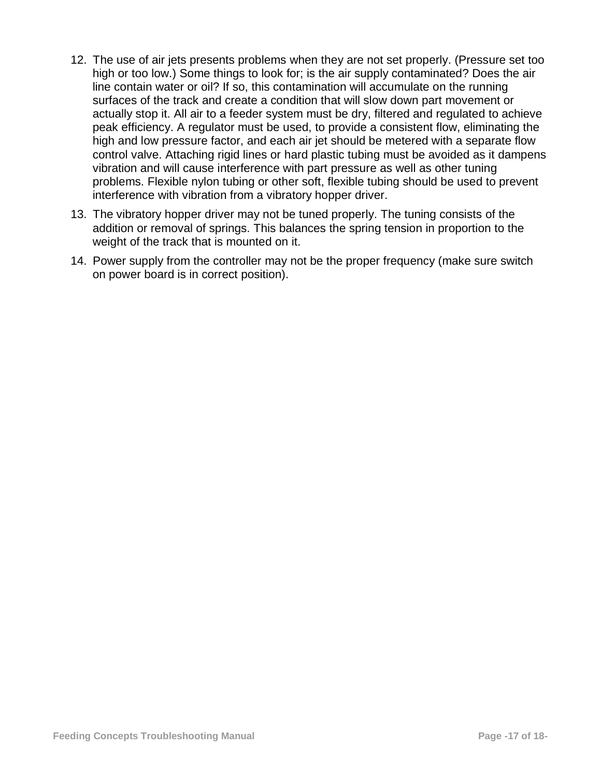- 12. The use of air jets presents problems when they are not set properly. (Pressure set too high or too low.) Some things to look for; is the air supply contaminated? Does the air line contain water or oil? If so, this contamination will accumulate on the running surfaces of the track and create a condition that will slow down part movement or actually stop it. All air to a feeder system must be dry, filtered and regulated to achieve peak efficiency. A regulator must be used, to provide a consistent flow, eliminating the high and low pressure factor, and each air jet should be metered with a separate flow control valve. Attaching rigid lines or hard plastic tubing must be avoided as it dampens vibration and will cause interference with part pressure as well as other tuning problems. Flexible nylon tubing or other soft, flexible tubing should be used to prevent interference with vibration from a vibratory hopper driver.
- 13. The vibratory hopper driver may not be tuned properly. The tuning consists of the addition or removal of springs. This balances the spring tension in proportion to the weight of the track that is mounted on it.
- 14. Power supply from the controller may not be the proper frequency (make sure switch on power board is in correct position).